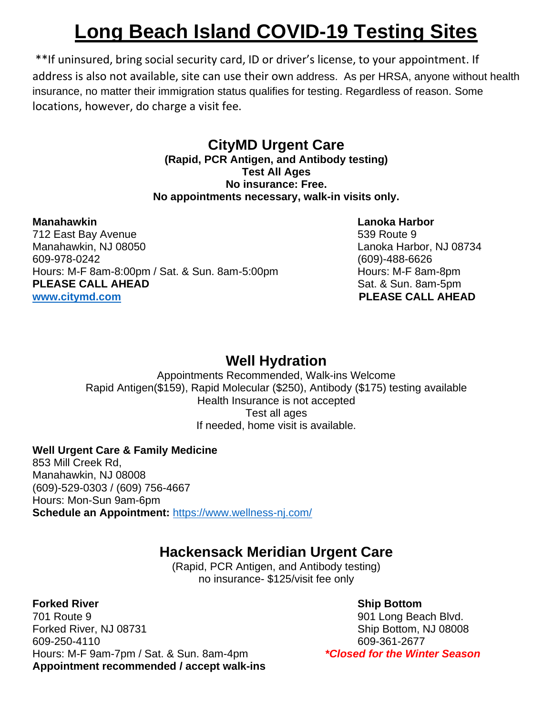# **Long Beach Island COVID-19 Testing Sites**

\*\*If uninsured, bring social security card, ID or driver's license, to your appointment. If address is also not available, site can use their own address. As per HRSA, anyone without health insurance, no matter their immigration status qualifies for testing. Regardless of reason. Some locations, however, do charge a visit fee.

## **CityMD Urgent Care**

**(Rapid, PCR Antigen, and Antibody testing) Test All Ages No insurance: Free. No appointments necessary, walk-in visits only.**

#### **Manahawkin Lanoka Harbor**

712 East Bay Avenue 61 and 539 Route 9 Manahawkin, NJ 08050 **Manahawkin, NJ 08734** 609-978-0242 (609)-488-6626 Hours: M-F 8am-8:00pm / Sat. & Sun. 8am-5:00pm densing the Hours: M-F 8am-8pm **PLEASE CALL AHEAD** Sat. & Sun. 8am-5pm **[www.citymd.com](http://www.citymd.com/) PLEASE CALL AHEAD**

## **Well Hydration**

Appointments Recommended, Walk-ins Welcome Rapid Antigen(\$159), Rapid Molecular (\$250), Antibody (\$175) testing available Health Insurance is not accepted Test all ages If needed, home visit is available.

### **Well Urgent Care & Family Medicine**

853 Mill Creek Rd, Manahawkin, NJ 08008 (609)-529-0303 / (609) 756-4667 Hours: Mon-Sun 9am-6pm **Schedule an Appointment:** <https://www.wellness-nj.com/>

## **Hackensack Meridian Urgent Care**

(Rapid, PCR Antigen, and Antibody testing) no insurance- \$125/visit fee only

701 Route 9 901 Long Beach Blvd. Forked River, NJ 08731 Ship Bottom, NJ 08008 609-250-4110 609-361-2677 Hours: M-F 9am-7pm / Sat. & Sun. 8am-4pm *\*Closed for the Winter Season* **Appointment recommended / accept walk-ins**

**Forked River Ship Bottom** Ship Bottom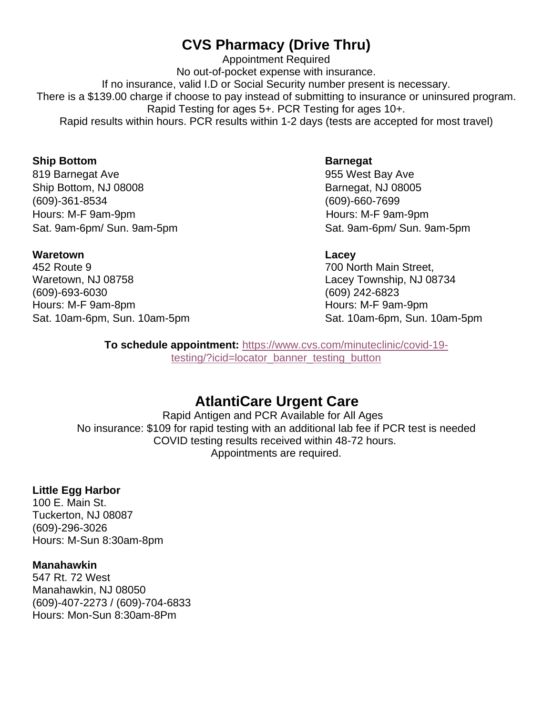## **CVS Pharmacy (Drive Thru)**

Appointment Required No out-of-pocket expense with insurance. If no insurance, valid I.D or Social Security number present is necessary. There is a \$139.00 charge if choose to pay instead of submitting to insurance or uninsured program. Rapid Testing for ages 5+. PCR Testing for ages 10+. Rapid results within hours. PCR results within 1-2 days (tests are accepted for most travel)

#### **Ship Bottom Barnegat**

819 Barnegat Ave **628 Search Ave 12 Ave 12 Search Ave 12 Ave 12 Search Ave 12 Ave 12 Ave 12 Search Ave 12 Ave 12 Ave** Ship Bottom, NJ 08008 Barnegat, NJ 08005 (609)-361-8534 (609)-660-7699 Hours: M-F 9am-9pm **Hours: M-F 9am-9pm** 

Sat. 9am-6pm/ Sun. 9am-5pm Sat. 9am-6pm/ Sun. 9am-5pm

#### **Waretown Lacey**

452 Route 9 700 North Main Street, Waretown, NJ 08758 Lacey Township, NJ 08734 (609)-693-6030 (609) 242-6823 Hours: M-F 9am-8pm example and the Hours: M-F 9am-9pm

Sat. 10am-6pm, Sun. 10am-5pm Sat. 10am-6pm, Sun. 10am-5pm

**To schedule appointment:** [https://www.cvs.com/minuteclinic/covid-19](https://www.cvs.com/minuteclinic/covid-19-testing/?icid=locator_banner_testing_button) [testing/?icid=locator\\_banner\\_testing\\_button](https://www.cvs.com/minuteclinic/covid-19-testing/?icid=locator_banner_testing_button)

## **AtlantiCare Urgent Care**

Rapid Antigen and PCR Available for All Ages No insurance: \$109 for rapid testing with an additional lab fee if PCR test is needed COVID testing results received within 48-72 hours. Appointments are required.

#### **Little Egg Harbor**

100 E. Main St. Tuckerton, NJ 08087 (609)-296-3026 Hours: M-Sun 8:30am-8pm

#### **Manahawkin**

547 Rt. 72 West Manahawkin, NJ 08050 (609)-407-2273 / (609)-704-6833 Hours: Mon-Sun 8:30am-8Pm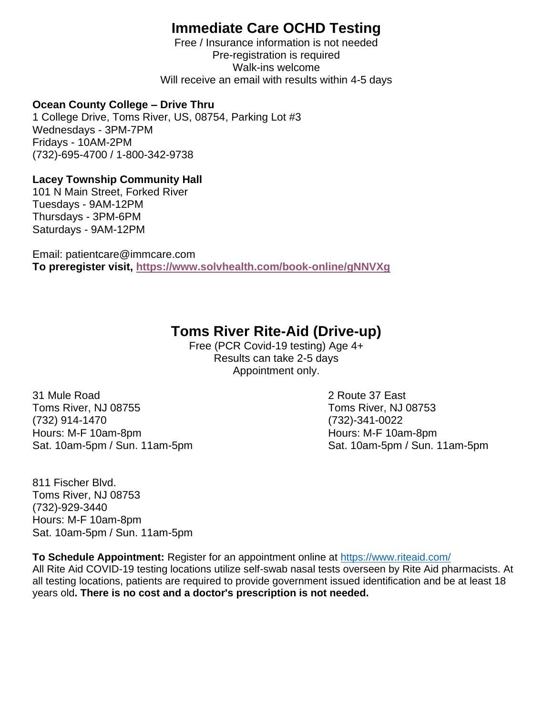## **Immediate Care OCHD Testing**

Free / Insurance information is not needed Pre-registration is required Walk-ins welcome Will receive an email with results within 4-5 days

#### **Ocean County College – Drive Thru**

1 College Drive, Toms River, US, 08754, Parking Lot #3 Wednesdays - 3PM-7PM Fridays - 10AM-2PM (732)-695-4700 / 1-800-342-9738

### **Lacey Township Community Hall**

101 N Main Street, Forked River Tuesdays - 9AM-12PM Thursdays - 3PM-6PM Saturdays - 9AM-12PM

Email: patientcare@immcare.com **To preregister visit,<https://www.solvhealth.com/book-online/gNNVXg>**

## **Toms River Rite-Aid (Drive-up)**

Free (PCR Covid-19 testing) Age 4+ Results can take 2-5 days Appointment only.

31 Mule Road 2 Route 37 East Toms River, NJ 08755 Toms River, NJ 08753 (732) 914-1470 (732)-341-0022 Hours: M-F 10am-8pm Hours: M-F 10am-8pm

Sat. 10am-5pm / Sun. 11am-5pm Sat. 10am-5pm / Sun. 11am-5pm

811 Fischer Blvd. Toms River, NJ 08753 (732)-929-3440 Hours: M-F 10am-8pm Sat. 10am-5pm / Sun. 11am-5pm

**To Schedule Appointment:** Register for an appointment online at<https://www.riteaid.com/>

All Rite Aid COVID-19 testing locations utilize self-swab nasal tests overseen by Rite Aid pharmacists. At all testing locations, patients are required to provide government issued identification and be at least 18 years old**. There is no cost and a doctor's prescription is not needed.**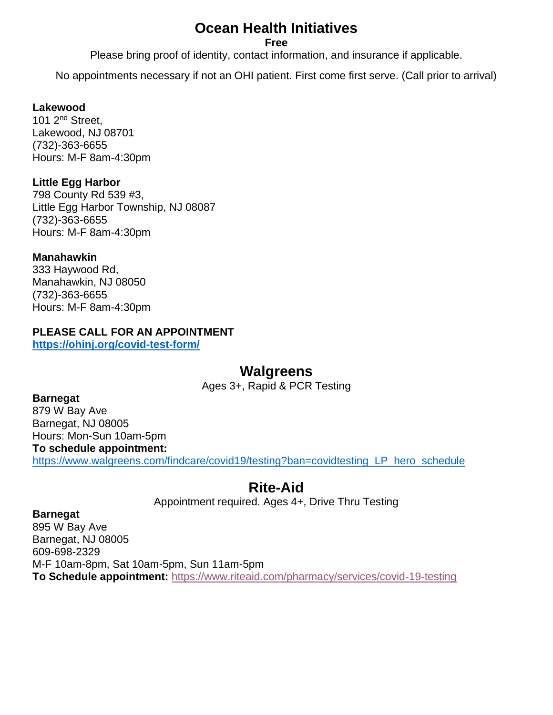## **Ocean Health Initiatives**

#### **Free**

Please bring proof of identity, contact information, and insurance if applicable.

No appointments necessary if not an OHI patient. First come first serve. (Call prior to arrival)

#### **Lakewood**

101 2<sup>nd</sup> Street. Lakewood, NJ 08701 (732)-363-6655 Hours: M-F 8am-4:30pm

#### **Little Egg Harbor**

798 County Rd 539 #3, Little Egg Harbor Township, NJ 08087 (732)-363-6655 Hours: M-F 8am-4:30pm

#### **Manahawkin**

333 Haywood Rd, Manahawkin, NJ 08050 (732)-363-6655 Hours: M-F 8am-4:30pm

### **PLEASE CALL FOR AN APPOINTMENT**

**<https://ohinj.org/covid-test-form/>**

### **Walgreens**

Ages 3+, Rapid & PCR Testing

#### **Barnegat**

879 W Bay Ave Barnegat, NJ 08005 Hours: Mon-Sun 10am-5pm **To schedule appointment:**  [https://www.walgreens.com/findcare/covid19/testing?ban=covidtesting\\_LP\\_hero\\_schedule](https://www.walgreens.com/findcare/covid19/testing?ban=covidtesting_LP_hero_schedule)

## **Rite-Aid**

Appointment required. Ages 4+, Drive Thru Testing

#### **Barnegat**

895 W Bay Ave Barnegat, NJ 08005 609-698-2329 M-F 10am-8pm, Sat 10am-5pm, Sun 11am-5pm **To Schedule appointment:** <https://www.riteaid.com/pharmacy/services/covid-19-testing>